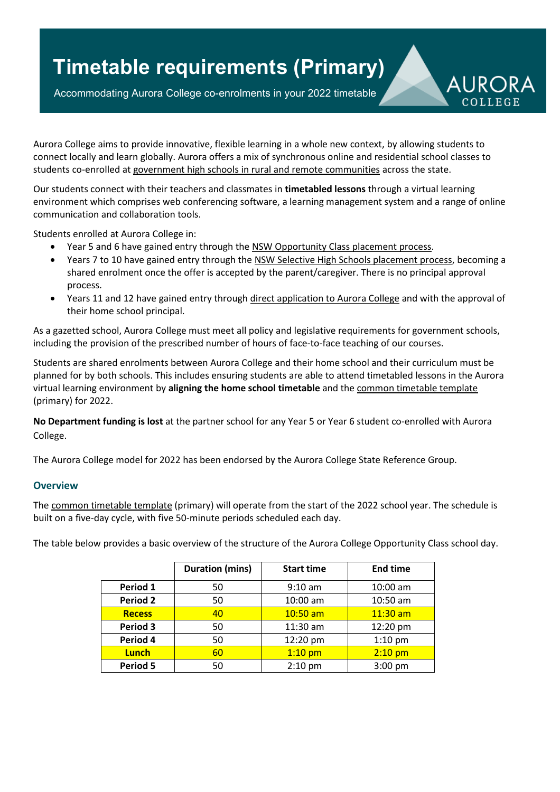## **Timetable requirements (Primary)**

Accommodating Aurora College co-enrolments in your 2022 timetable



Aurora College aims to provide innovative, flexible learning in a whole new context, by allowing students to connect locally and learn globally. Aurora offers a mix of synchronous online and residential school classes to students co-enrolled at government high schools in rural and remote [communities](http://www.aurora.nsw.edu.au/files/2014/06/RR-2014schoolslist-245rzar-23wotij.pdf) across the state.

Our students connect with their teachers and classmates in **timetabled lessons** through a virtual learning environment which comprises web conferencing software, a learning management system and a range of online communication and collaboration tools.

Students enrolled at Aurora College in:

- Year 5 and 6 have gained entry through the NSW [Opportunity](https://education.nsw.gov.au/public-schools/selective-high-schools-and-opportunity-classes/year-5) Class placement process.
- Years 7 to 10 have gained entry through the NSW Selective High Schools [placement](https://education.nsw.gov.au/selective-high-schools-and-opportunity-classes) process, becoming a shared enrolment once the offer is accepted by the parent/caregiver. There is no principal approval process.
- Years 11 and 12 have gained entry through direct [application](https://aurora.nsw.edu.au/learning/senior-school/enrolment-information/) to Aurora College and with the approval of their home school principal.

As a gazetted school, Aurora College must meet all policy and legislative requirements for government schools, including the provision of the prescribed number of hours of face-to-face teaching of our courses.

Students are shared enrolments between Aurora College and their home school and their curriculum must be planned for by both schools. This includes ensuring students are able to attend timetabled lessons in the Aurora virtual learning environment by **aligning the home school timetable** and the common [timetable](https://aurora.nsw.edu.au/partner-schools/resources-for-partner-schools/) template (primary) for 2022.

**No Department funding is lost** at the partner school for any Year 5 or Year 6 student co-enrolled with Aurora College.

The Aurora College model for 2022 has been endorsed by the Aurora College State Reference Group.

## **Overview**

The common [timetable](https://aurora.nsw.edu.au/partner-schools/resources-for-partner-schools/) template (primary) will operate from the start of the 2022 school year. The schedule is built on a five-day cycle, with five 50-minute periods scheduled each day.

The table below provides a basic overview of the structure of the Aurora College Opportunity Class school day.

|                 | <b>Duration (mins)</b> | <b>Start time</b> | <b>End time</b> |
|-----------------|------------------------|-------------------|-----------------|
| Period 1        | 50                     | $9:10$ am         | 10:00 am        |
| <b>Period 2</b> | 50                     | 10:00 am          | 10:50 am        |
| <b>Recess</b>   | 40                     | $10:50$ am        | $11:30$ am      |
| Period 3        | 50                     | 11:30 am          | 12:20 pm        |
| Period 4        | 50                     | 12:20 pm          | $1:10$ pm       |
| <b>Lunch</b>    | 60                     | $1:10$ pm         | $2:10$ pm       |
| <b>Period 5</b> | 50                     | $2:10$ pm         | $3:00$ pm       |